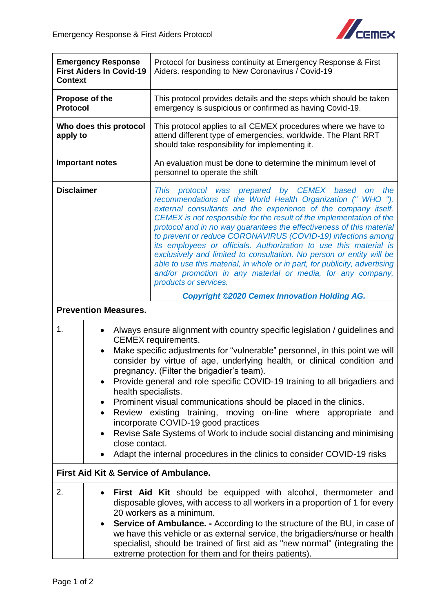

| <b>Emergency Response</b><br><b>First Aiders In Covid-19</b><br><b>Context</b> |                                                                 | Protocol for business continuity at Emergency Response & First<br>Aiders. responding to New Coronavirus / Covid-19                                                                                                                                                                                                                                                                                                                                                                                                                                                                                                                                                                                                                |
|--------------------------------------------------------------------------------|-----------------------------------------------------------------|-----------------------------------------------------------------------------------------------------------------------------------------------------------------------------------------------------------------------------------------------------------------------------------------------------------------------------------------------------------------------------------------------------------------------------------------------------------------------------------------------------------------------------------------------------------------------------------------------------------------------------------------------------------------------------------------------------------------------------------|
| Propose of the<br><b>Protocol</b>                                              |                                                                 | This protocol provides details and the steps which should be taken<br>emergency is suspicious or confirmed as having Covid-19.                                                                                                                                                                                                                                                                                                                                                                                                                                                                                                                                                                                                    |
| Who does this protocol<br>apply to                                             |                                                                 | This protocol applies to all CEMEX procedures where we have to<br>attend different type of emergencies, worldwide. The Plant RRT<br>should take responsibility for implementing it.                                                                                                                                                                                                                                                                                                                                                                                                                                                                                                                                               |
| <b>Important notes</b>                                                         |                                                                 | An evaluation must be done to determine the minimum level of<br>personnel to operate the shift                                                                                                                                                                                                                                                                                                                                                                                                                                                                                                                                                                                                                                    |
| <b>Disclaimer</b>                                                              |                                                                 | This protocol was prepared by CEMEX based<br>the<br><b>on</b><br>recommendations of the World Health Organization (" WHO "),<br>external consultants and the experience of the company itself.<br>CEMEX is not responsible for the result of the implementation of the<br>protocol and in no way guarantees the effectiveness of this material<br>to prevent or reduce CORONAVIRUS (COVID-19) infections among<br>its employees or officials. Authorization to use this material is<br>exclusively and limited to consultation. No person or entity will be<br>able to use this material, in whole or in part, for publicity, advertising<br>and/or promotion in any material or media, for any company,<br>products or services. |
|                                                                                |                                                                 | <b>Copyright ©2020 Cemex Innovation Holding AG.</b>                                                                                                                                                                                                                                                                                                                                                                                                                                                                                                                                                                                                                                                                               |
| <b>Prevention Measures.</b>                                                    |                                                                 |                                                                                                                                                                                                                                                                                                                                                                                                                                                                                                                                                                                                                                                                                                                                   |
| 1.                                                                             | $\bullet$<br>health specialists.<br>$\bullet$<br>close contact. | Always ensure alignment with country specific legislation / guidelines and<br><b>CEMEX</b> requirements.<br>Make specific adjustments for "vulnerable" personnel, in this point we will<br>consider by virtue of age, underlying health, or clinical condition and<br>pregnancy. (Filter the brigadier's team).<br>Provide general and role specific COVID-19 training to all brigadiers and<br>Prominent visual communications should be placed in the clinics.<br>Review existing training, moving on-line where appropriate and<br>incorporate COVID-19 good practices<br>Revise Safe Systems of Work to include social distancing and minimising<br>Adapt the internal procedures in the clinics to consider COVID-19 risks   |
| <b>First Aid Kit &amp; Service of Ambulance.</b>                               |                                                                 |                                                                                                                                                                                                                                                                                                                                                                                                                                                                                                                                                                                                                                                                                                                                   |
| 2.                                                                             | $\bullet$                                                       | First Aid Kit should be equipped with alcohol, thermometer and<br>disposable gloves, with access to all workers in a proportion of 1 for every<br>20 workers as a minimum.<br><b>Service of Ambulance. -</b> According to the structure of the BU, in case of<br>we have this vehicle or as external service, the brigadiers/nurse or health<br>specialist, should be trained of first aid as "new normal" (integrating the<br>extreme protection for them and for theirs patients).                                                                                                                                                                                                                                              |